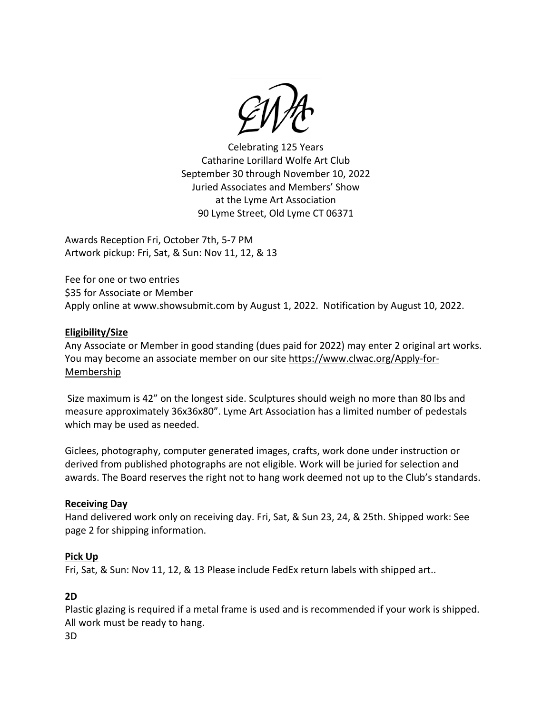

Celebrating 125 Years Catharine Lorillard Wolfe Art Club September 30 through November 10, 2022 Juried Associates and Members' Show at the Lyme Art Association 90 Lyme Street, Old Lyme CT 06371

Awards Reception Fri, October 7th, 5-7 PM Artwork pickup: Fri, Sat, & Sun: Nov 11, 12, & 13

Fee for one or two entries \$35 for Associate or Member Apply online at www.showsubmit.com by August 1, 2022. Notification by August 10, 2022.

### **Eligibility/Size**

Any Associate or Member in good standing (dues paid for 2022) may enter 2 original art works. You may become an associate member on our site https://www.clwac.org/Apply-for-Membership

 Size maximum is 42" on the longest side. Sculptures should weigh no more than 80 lbs and measure approximately 36x36x80". Lyme Art Association has a limited number of pedestals which may be used as needed.

Giclees, photography, computer generated images, crafts, work done under instruction or derived from published photographs are not eligible. Work will be juried for selection and awards. The Board reserves the right not to hang work deemed not up to the Club's standards.

### **Receiving Day**

Hand delivered work only on receiving day. Fri, Sat, & Sun 23, 24, & 25th. Shipped work: See page 2 for shipping information.

#### **Pick Up**

Fri, Sat, & Sun: Nov 11, 12, & 13 Please include FedEx return labels with shipped art..

## **2D**

Plastic glazing is required if a metal frame is used and is recommended if your work is shipped. All work must be ready to hang. 3D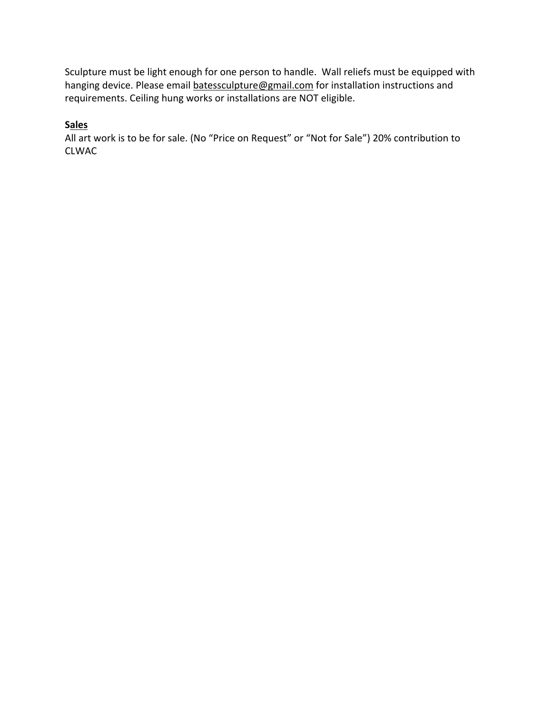Sculpture must be light enough for one person to handle. Wall reliefs must be equipped with hanging device. Please email batessculpture@gmail.com for installation instructions and requirements. Ceiling hung works or installations are NOT eligible.

# **Sales**

All art work is to be for sale. (No "Price on Request" or "Not for Sale") 20% contribution to CLWAC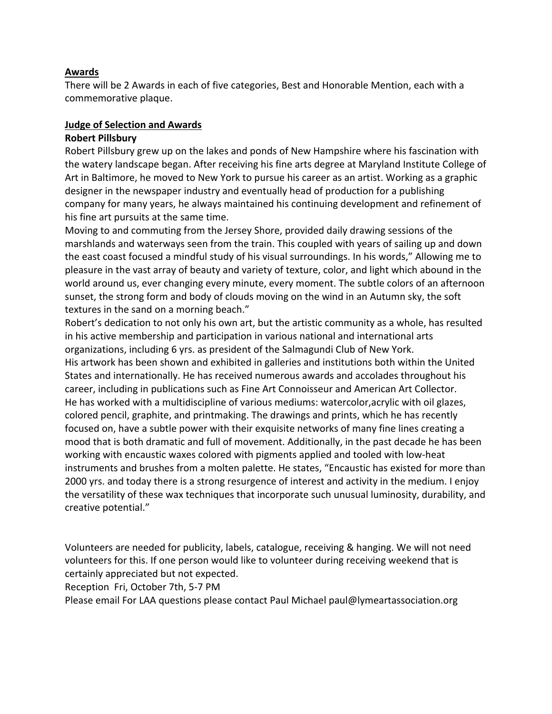### **Awards**

There will be 2 Awards in each of five categories, Best and Honorable Mention, each with a commemorative plaque.

### **Judge of Selection and Awards**

### **Robert Pillsbury**

Robert Pillsbury grew up on the lakes and ponds of New Hampshire where his fascination with the watery landscape began. After receiving his fine arts degree at Maryland Institute College of Art in Baltimore, he moved to New York to pursue his career as an artist. Working as a graphic designer in the newspaper industry and eventually head of production for a publishing company for many years, he always maintained his continuing development and refinement of his fine art pursuits at the same time.

Moving to and commuting from the Jersey Shore, provided daily drawing sessions of the marshlands and waterways seen from the train. This coupled with years of sailing up and down the east coast focused a mindful study of his visual surroundings. In his words," Allowing me to pleasure in the vast array of beauty and variety of texture, color, and light which abound in the world around us, ever changing every minute, every moment. The subtle colors of an afternoon sunset, the strong form and body of clouds moving on the wind in an Autumn sky, the soft textures in the sand on a morning beach."

Robert's dedication to not only his own art, but the artistic community as a whole, has resulted in his active membership and participation in various national and international arts organizations, including 6 yrs. as president of the Salmagundi Club of New York. His artwork has been shown and exhibited in galleries and institutions both within the United States and internationally. He has received numerous awards and accolades throughout his career, including in publications such as Fine Art Connoisseur and American Art Collector. He has worked with a multidiscipline of various mediums: watercolor,acrylic with oil glazes, colored pencil, graphite, and printmaking. The drawings and prints, which he has recently focused on, have a subtle power with their exquisite networks of many fine lines creating a mood that is both dramatic and full of movement. Additionally, in the past decade he has been working with encaustic waxes colored with pigments applied and tooled with low-heat instruments and brushes from a molten palette. He states, "Encaustic has existed for more than 2000 yrs. and today there is a strong resurgence of interest and activity in the medium. I enjoy the versatility of these wax techniques that incorporate such unusual luminosity, durability, and creative potential."

Volunteers are needed for publicity, labels, catalogue, receiving & hanging. We will not need volunteers for this. If one person would like to volunteer during receiving weekend that is certainly appreciated but not expected.

Reception Fri, October 7th, 5-7 PM

Please email For LAA questions please contact Paul Michael paul@lymeartassociation.org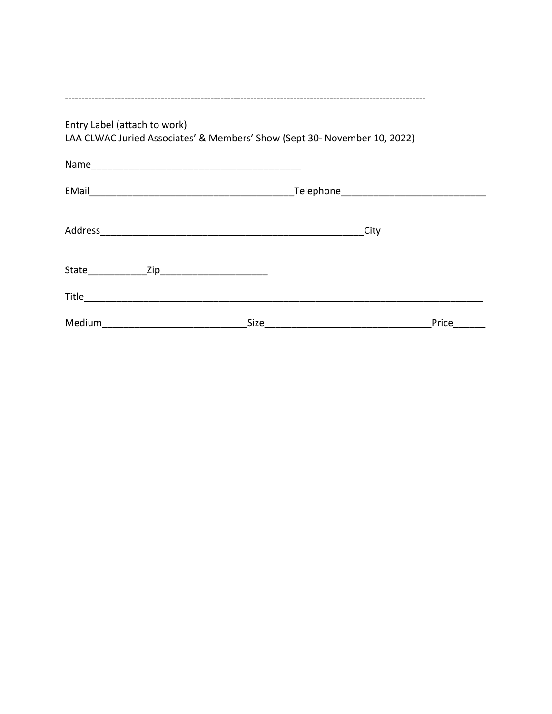| Entry Label (attach to work)<br>LAA CLWAC Juried Associates' & Members' Show (Sept 30- November 10, 2022) |                                                                                                                                |
|-----------------------------------------------------------------------------------------------------------|--------------------------------------------------------------------------------------------------------------------------------|
|                                                                                                           |                                                                                                                                |
|                                                                                                           |                                                                                                                                |
|                                                                                                           | City                                                                                                                           |
|                                                                                                           |                                                                                                                                |
|                                                                                                           |                                                                                                                                |
| Size                                                                                                      | Price<br><u> 1980 - Jan James James Barnett, martin de la populación de la propia de la propia de la propia de la propia d</u> |